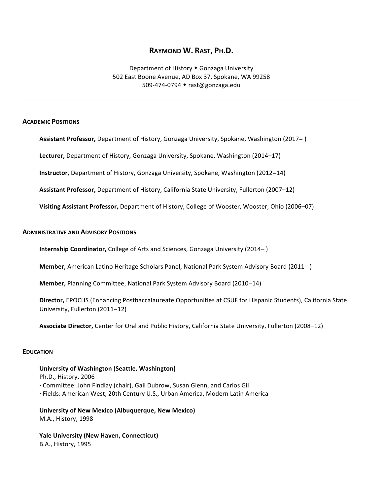# **RAYMOND W. RAST, PH.D.**

Department of History • Gonzaga University 502 East Boone Avenue, AD Box 37, Spokane, WA 99258 509-474-0794 ◆ rast@gonzaga.edu

## **ACADEMIC POSITIONS**

**Assistant Professor,** Department of History, Gonzaga University, Spokane, Washington (2017−)

Lecturer, Department of History, Gonzaga University, Spokane, Washington (2014–17)

**Instructor,** Department of History, Gonzaga University, Spokane, Washington (2012-14)

Assistant Professor, Department of History, California State University, Fullerton (2007–12)

**Visiting Assistant Professor,** Department of History, College of Wooster, Wooster, Ohio (2006–07)

#### **ADMINISTRATIVE AND ADVISORY POSITIONS**

**Internship Coordinator,** College of Arts and Sciences, Gonzaga University (2014–)

**Member,** American Latino Heritage Scholars Panel, National Park System Advisory Board (2011−)

**Member,** Planning Committee, National Park System Advisory Board (2010–14)

**Director,** EPOCHS (Enhancing Postbaccalaureate Opportunities at CSUF for Hispanic Students), California State University, Fullerton (2011-12)

Associate Director, Center for Oral and Public History, California State University, Fullerton (2008–12)

#### **EDUCATION**

## **University of Washington (Seattle, Washington)**

Ph.D., History, 2006

- **·** Committee: John Findlay (chair), Gail Dubrow, Susan Glenn, and Carlos Gil
- **·** Fields: American West, 20th Century U.S., Urban America, Modern Latin America

**University of New Mexico (Albuquerque, New Mexico)** M.A., History, 1998

**Yale University (New Haven, Connecticut)** B.A., History, 1995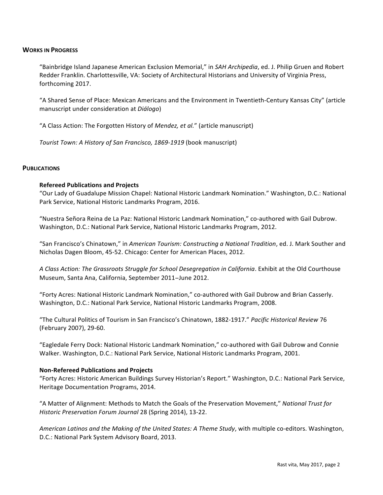## **WORKS IN PROGRESS**

"Bainbridge Island Japanese American Exclusion Memorial," in *SAH Archipedia*, ed. J. Philip Gruen and Robert Redder Franklin. Charlottesville, VA: Society of Architectural Historians and University of Virginia Press, forthcoming 2017.

"A Shared Sense of Place: Mexican Americans and the Environment in Twentieth-Century Kansas City" (article manuscript under consideration at *Diálogo*)

"A Class Action: The Forgotten History of *Mendez, et al."* (article manuscript)

*Tourist Town: A History of San Francisco, 1869-1919* (book manuscript)

## **PUBLICATIONS**

## **Refereed Publications and Projects**

"Our Lady of Guadalupe Mission Chapel: National Historic Landmark Nomination." Washington, D.C.: National Park Service, National Historic Landmarks Program, 2016.

"Nuestra Señora Reina de La Paz: National Historic Landmark Nomination," co-authored with Gail Dubrow. Washington, D.C.: National Park Service, National Historic Landmarks Program, 2012.

"San Francisco's Chinatown," in American Tourism: Constructing a National Tradition, ed. J. Mark Souther and Nicholas Dagen Bloom, 45-52. Chicago: Center for American Places, 2012.

A Class Action: The Grassroots Struggle for School Desegregation in California. Exhibit at the Old Courthouse Museum, Santa Ana, California, September 2011-June 2012.

"Forty Acres: National Historic Landmark Nomination," co-authored with Gail Dubrow and Brian Casserly. Washington, D.C.: National Park Service, National Historic Landmarks Program, 2008.

"The Cultural Politics of Tourism in San Francisco's Chinatown, 1882-1917." Pacific Historical Review 76 (February 2007), 29-60.

"Eagledale Ferry Dock: National Historic Landmark Nomination," co-authored with Gail Dubrow and Connie Walker. Washington, D.C.: National Park Service, National Historic Landmarks Program, 2001.

#### **Non-Refereed Publications and Projects**

"Forty Acres: Historic American Buildings Survey Historian's Report." Washington, D.C.: National Park Service, Heritage Documentation Programs, 2014.

"A Matter of Alignment: Methods to Match the Goals of the Preservation Movement," *National Trust for Historic Preservation Forum Journal* 28 (Spring 2014), 13-22.

*American Latinos and the Making of the United States: A Theme Study,* with multiple co-editors. Washington, D.C.: National Park System Advisory Board, 2013.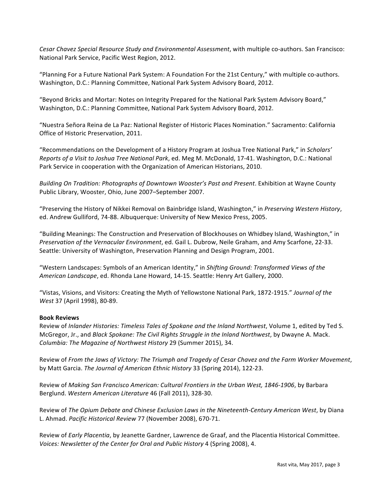Cesar Chavez Special Resource Study and Environmental Assessment, with multiple co-authors. San Francisco: National Park Service, Pacific West Region, 2012.

"Planning For a Future National Park System: A Foundation For the 21st Century," with multiple co-authors. Washington, D.C.: Planning Committee, National Park System Advisory Board, 2012.

"Beyond Bricks and Mortar: Notes on Integrity Prepared for the National Park System Advisory Board," Washington, D.C.: Planning Committee, National Park System Advisory Board, 2012.

"Nuestra Señora Reina de La Paz: National Register of Historic Places Nomination." Sacramento: California Office of Historic Preservation, 2011.

"Recommendations on the Development of a History Program at Joshua Tree National Park," in *Scholars' Reports of a Visit to Joshua Tree National Park*, ed. Meg M. McDonald, 17-41. Washington, D.C.: National Park Service in cooperation with the Organization of American Historians, 2010.

*Building On Tradition: Photographs of Downtown Wooster's Past and Present.* Exhibition at Wayne County Public Library, Wooster, Ohio, June 2007-September 2007.

"Preserving the History of Nikkei Removal on Bainbridge Island, Washington," in *Preserving Western History*, ed. Andrew Gulliford, 74-88. Albuquerque: University of New Mexico Press, 2005.

"Building Meanings: The Construction and Preservation of Blockhouses on Whidbey Island, Washington," in *Preservation of the Vernacular Environment*, ed. Gail L. Dubrow, Neile Graham, and Amy Scarfone, 22-33. Seattle: University of Washington, Preservation Planning and Design Program, 2001.

"Western Landscapes: Symbols of an American Identity," in Shifting Ground: Transformed Views of the *American Landscape*, ed. Rhonda Lane Howard, 14-15. Seattle: Henry Art Gallery, 2000.

"Vistas, Visions, and Visitors: Creating the Myth of Yellowstone National Park, 1872-1915." Journal of the *West* 37 (April 1998), 80-89.

## **Book Reviews**

Review of *Inlander Histories: Timeless Tales of Spokane and the Inland Northwest*, Volume 1, edited by Ted S. McGregor, Jr., and *Black Spokane: The Civil Rights Struggle in the Inland Northwest*, by Dwayne A. Mack. *Columbia: The Magazine of Northwest History* 29 (Summer 2015), 34.

Review of *From the Jaws of Victory: The Triumph and Tragedy of Cesar Chavez and the Farm Worker Movement*, by Matt Garcia. The Journal of American Ethnic History 33 (Spring 2014), 122-23.

Review of *Making San Francisco American: Cultural Frontiers in the Urban West, 1846-1906, by Barbara* Berglund. Western American Literature 46 (Fall 2011), 328-30.

Review of *The Opium Debate and Chinese Exclusion Laws in the Nineteenth-Century American West, by Diana* L. Ahmad. Pacific Historical Review 77 (November 2008), 670-71.

Review of *Early Placentia*, by Jeanette Gardner, Lawrence de Graaf, and the Placentia Historical Committee. *Voices: Newsletter of the Center for Oral and Public History* 4 (Spring 2008), 4.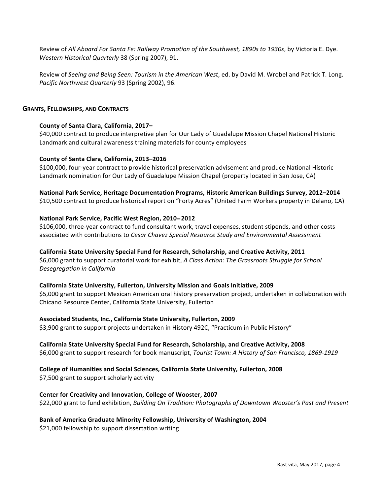Review of *All Aboard For Santa Fe: Railway Promotion of the Southwest, 1890s to 1930s, by Victoria E. Dye. Western Historical Quarterly* 38 (Spring 2007), 91.

Review of Seeing and Being Seen: Tourism in the American West, ed. by David M. Wrobel and Patrick T. Long. Pacific Northwest Quarterly 93 (Spring 2002), 96.

## **GRANTS, FELLOWSHIPS, AND CONTRACTS**

## **County of Santa Clara, California, 2017–**

\$40,000 contract to produce interpretive plan for Our Lady of Guadalupe Mission Chapel National Historic Landmark and cultural awareness training materials for county employees

## **County of Santa Clara, California, 2013–2016**

\$100,000, four-year contract to provide historical preservation advisement and produce National Historic Landmark nomination for Our Lady of Guadalupe Mission Chapel (property located in San Jose, CA)

## National Park Service, Heritage Documentation Programs, Historic American Buildings Survey, 2012–2014

\$10,500 contract to produce historical report on "Forty Acres" (United Farm Workers property in Delano, CA)

## **National Park Service, Pacific West Region, 2010**−**2012**

\$106,000, three-year contract to fund consultant work, travel expenses, student stipends, and other costs associated with contributions to *Cesar Chavez Special Resource Study and Environmental Assessment* 

## California State University Special Fund for Research, Scholarship, and Creative Activity, 2011

\$6,000 grant to support curatorial work for exhibit, *A Class Action: The Grassroots Struggle for School Desegregation in California*

## California State University, Fullerton, University Mission and Goals Initiative, 2009

\$5,000 grant to support Mexican American oral history preservation project, undertaken in collaboration with Chicano Resource Center, California State University, Fullerton

## Associated Students, Inc., California State University, Fullerton, 2009

\$3,900 grant to support projects undertaken in History 492C, "Practicum in Public History"

## California State University Special Fund for Research, Scholarship, and Creative Activity, 2008

\$6,000 grant to support research for book manuscript, *Tourist Town: A History of San Francisco, 1869-1919* 

## **College of Humanities and Social Sciences, California State University, Fullerton, 2008**

\$7,500 grant to support scholarly activity

## **Center for Creativity and Innovation, College of Wooster, 2007**

\$22,000 grant to fund exhibition, *Building On Tradition: Photographs of Downtown Wooster's Past and Present* 

## Bank of America Graduate Minority Fellowship, University of Washington, 2004

\$21,000 fellowship to support dissertation writing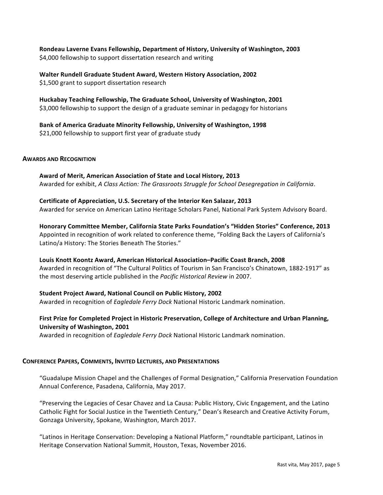Rondeau Laverne Evans Fellowship, Department of History, University of Washington, 2003 \$4,000 fellowship to support dissertation research and writing

**Walter Rundell Graduate Student Award, Western History Association, 2002** \$1,500 grant to support dissertation research

Huckabay Teaching Fellowship, The Graduate School, University of Washington, 2001 \$3,000 fellowship to support the design of a graduate seminar in pedagogy for historians

Bank of America Graduate Minority Fellowship, University of Washington, 1998 \$21,000 fellowship to support first year of graduate study

#### **AWARDS AND RECOGNITION**

Award of Merit, American Association of State and Local History, 2013 Awarded for exhibit, *A Class Action: The Grassroots Struggle for School Desegregation in California.* 

**Certificate of Appreciation, U.S. Secretary of the Interior Ken Salazar, 2013** 

Awarded for service on American Latino Heritage Scholars Panel, National Park System Advisory Board.

**Honorary Committee Member, California State Parks Foundation's "Hidden Stories" Conference, 2013** Appointed in recognition of work related to conference theme, "Folding Back the Layers of California's Latino/a History: The Stories Beneath The Stories."

Louis Knott Koontz Award, American Historical Association–Pacific Coast Branch, 2008 Awarded in recognition of "The Cultural Politics of Tourism in San Francisco's Chinatown, 1882-1917" as the most deserving article published in the *Pacific Historical Review* in 2007.

**Student Project Award, National Council on Public History, 2002** 

Awarded in recognition of *Eagledale Ferry Dock* National Historic Landmark nomination.

# First Prize for Completed Project in Historic Preservation, College of Architecture and Urban Planning, **University of Washington, 2001**

Awarded in recognition of *Eagledale Ferry Dock* National Historic Landmark nomination.

## **CONFERENCE PAPERS, COMMENTS, INVITED LECTURES, AND PRESENTATIONS**

"Guadalupe Mission Chapel and the Challenges of Formal Designation," California Preservation Foundation Annual Conference, Pasadena, California, May 2017.

"Preserving the Legacies of Cesar Chavez and La Causa: Public History, Civic Engagement, and the Latino Catholic Fight for Social Justice in the Twentieth Century," Dean's Research and Creative Activity Forum, Gonzaga University, Spokane, Washington, March 2017.

"Latinos in Heritage Conservation: Developing a National Platform," roundtable participant, Latinos in Heritage Conservation National Summit, Houston, Texas, November 2016.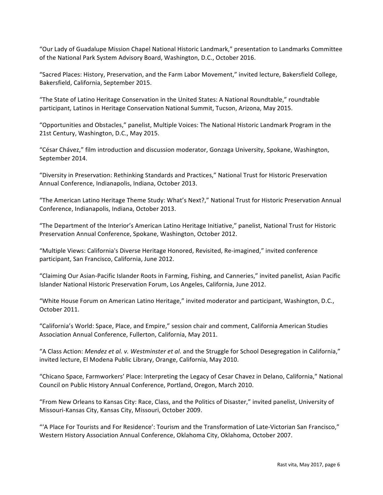"Our Lady of Guadalupe Mission Chapel National Historic Landmark," presentation to Landmarks Committee of the National Park System Advisory Board, Washington, D.C., October 2016.

"Sacred Places: History, Preservation, and the Farm Labor Movement," invited lecture, Bakersfield College, Bakersfield, California, September 2015.

"The State of Latino Heritage Conservation in the United States: A National Roundtable," roundtable participant, Latinos in Heritage Conservation National Summit, Tucson, Arizona, May 2015.

"Opportunities and Obstacles," panelist, Multiple Voices: The National Historic Landmark Program in the 21st Century, Washington, D.C., May 2015.

"César Chávez," film introduction and discussion moderator, Gonzaga University, Spokane, Washington, September 2014.

"Diversity in Preservation: Rethinking Standards and Practices," National Trust for Historic Preservation Annual Conference, Indianapolis, Indiana, October 2013.

"The American Latino Heritage Theme Study: What's Next?," National Trust for Historic Preservation Annual Conference, Indianapolis, Indiana, October 2013.

"The Department of the Interior's American Latino Heritage Initiative," panelist, National Trust for Historic Preservation Annual Conference, Spokane, Washington, October 2012.

"Multiple Views: California's Diverse Heritage Honored, Revisited, Re-imagined," invited conference participant, San Francisco, California, June 2012.

"Claiming Our Asian-Pacific Islander Roots in Farming, Fishing, and Canneries," invited panelist, Asian Pacific Islander National Historic Preservation Forum, Los Angeles, California, June 2012.

"White House Forum on American Latino Heritage," invited moderator and participant, Washington, D.C., October 2011.

"California's World: Space, Place, and Empire," session chair and comment, California American Studies Association Annual Conference, Fullerton, California, May 2011.

"A Class Action: Mendez et al. v. Westminster et al. and the Struggle for School Desegregation in California," invited lecture, El Modena Public Library, Orange, California, May 2010.

"Chicano Space, Farmworkers' Place: Interpreting the Legacy of Cesar Chavez in Delano, California," National Council on Public History Annual Conference, Portland, Oregon, March 2010.

"From New Orleans to Kansas City: Race, Class, and the Politics of Disaster," invited panelist, University of Missouri-Kansas City, Kansas City, Missouri, October 2009.

"A Place For Tourists and For Residence': Tourism and the Transformation of Late-Victorian San Francisco," Western History Association Annual Conference, Oklahoma City, Oklahoma, October 2007.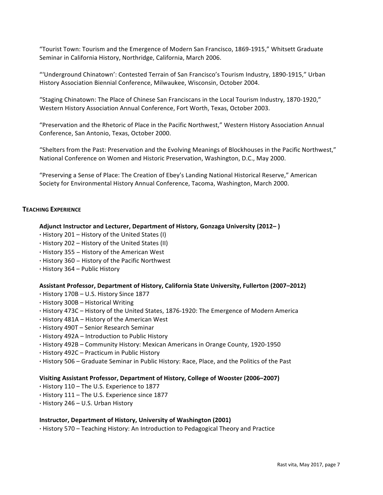"Tourist Town: Tourism and the Emergence of Modern San Francisco, 1869-1915," Whitsett Graduate Seminar in California History, Northridge, California, March 2006.

"'Underground Chinatown': Contested Terrain of San Francisco's Tourism Industry, 1890-1915," Urban History Association Biennial Conference, Milwaukee, Wisconsin, October 2004.

"Staging Chinatown: The Place of Chinese San Franciscans in the Local Tourism Industry, 1870-1920," Western History Association Annual Conference, Fort Worth, Texas, October 2003.

"Preservation and the Rhetoric of Place in the Pacific Northwest," Western History Association Annual Conference, San Antonio, Texas, October 2000.

"Shelters from the Past: Preservation and the Evolving Meanings of Blockhouses in the Pacific Northwest," National Conference on Women and Historic Preservation, Washington, D.C., May 2000.

"Preserving a Sense of Place: The Creation of Ebey's Landing National Historical Reserve," American Society for Environmental History Annual Conference, Tacoma, Washington, March 2000.

## **TEACHING EXPERIENCE**

#### Adjunct Instructor and Lecturer, Department of History, Gonzaga University (2012–)

- **·** History 201 History of the United States (I)
- **·** History 202 – History of the United States (II)
- **·** History 355 − History of the American West
- **·** History 360 − History of the Pacific Northwest
- **· History 364 Public History**

## Assistant Professor, Department of History, California State University, Fullerton (2007–2012)

- **·** History 170B – U.S. History Since 1877
- **·** History 300B – Historical Writing
- History 473C History of the United States, 1876-1920: The Emergence of Modern America
- **·** History 481A – History of the American West
- **·** History 490T – Senior Research Seminar
- **· History 492A** Introduction to Public History
- **·** History 492B – Community History: Mexican Americans in Orange County, 1920-1950
- **·** History 492C – Practicum in Public History
- **·** History 506 Graduate Seminar in Public History: Race, Place, and the Politics of the Past

#### Visiting Assistant Professor, Department of History, College of Wooster (2006–2007)

- **·** History 110 – The U.S. Experience to 1877
- **·** History 111 – The U.S. Experience since 1877
- **·** History 246 – U.S. Urban History

#### **Instructor, Department of History, University of Washington (2001)**

**·** History 570 – Teaching History: An Introduction to Pedagogical Theory and Practice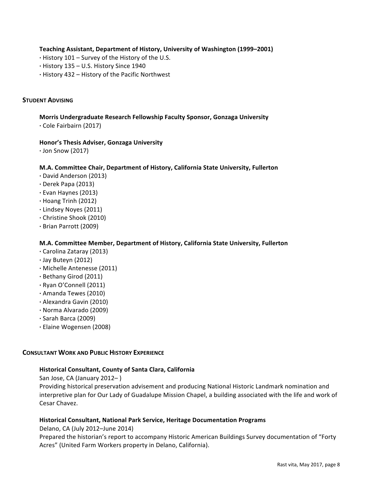**Teaching Assistant, Department of History, University of Washington (1999–2001)**

- **·** History 101 – Survey of the History of the U.S.
- **·** History 135 – U.S. History Since 1940
- **·** History 432 – History of the Pacific Northwest

## **STUDENT ADVISING**

**Morris Undergraduate Research Fellowship Faculty Sponsor, Gonzaga University ·** Cole Fairbairn (2017)

## **Honor's Thesis Adviser, Gonzaga University**

**·** Jon Snow (2017)

## **M.A. Committee Chair, Department of History, California State University, Fullerton**

- **·** David Anderson (2013)
- **·** Derek Papa (2013)
- **·** Evan Haynes (2013)
- **·** Hoang Trinh (2012)
- **·** Lindsey Noyes (2011)
- **·** Christine Shook (2010)
- **·** Brian Parrott (2009)

## **M.A. Committee Member, Department of History, California State University, Fullerton**

- **·** Carolina Zataray (2013)
- **·** Jay Buteyn (2012)
- **·** Michelle Antenesse (2011)
- **·** Bethany Girod (2011)
- **·** Ryan O'Connell (2011)
- **·** Amanda Tewes (2010)
- **·** Alexandra Gavin (2010)
- **·** Norma Alvarado (2009)
- **·** Sarah Barca (2009)
- **·** Elaine Wogensen (2008)

## **CONSULTANT WORK AND PUBLIC HISTORY EXPERIENCE**

## **Historical Consultant, County of Santa Clara, California**

San Jose, CA (January 2012–)

Providing historical preservation advisement and producing National Historic Landmark nomination and interpretive plan for Our Lady of Guadalupe Mission Chapel, a building associated with the life and work of Cesar Chavez.

## **Historical Consultant, National Park Service, Heritage Documentation Programs**

Delano, CA (July 2012–June 2014)

Prepared the historian's report to accompany Historic American Buildings Survey documentation of "Forty Acres" (United Farm Workers property in Delano, California).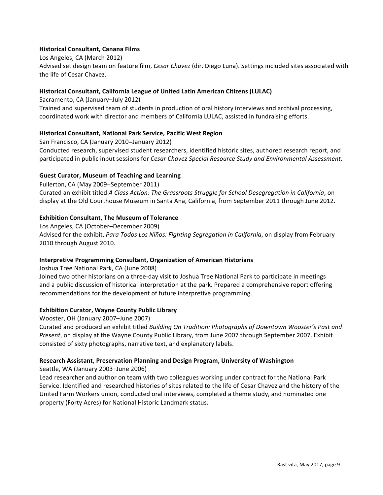## **Historical Consultant, Canana Films**

Los Angeles, CA (March 2012) Advised set design team on feature film, *Cesar Chavez* (dir. Diego Luna). Settings included sites associated with the life of Cesar Chavez.

## **Historical Consultant, California League of United Latin American Citizens (LULAC)**

Sacramento, CA (January–July 2012) Trained and supervised team of students in production of oral history interviews and archival processing, coordinated work with director and members of California LULAC, assisted in fundraising efforts.

## **Historical Consultant, National Park Service, Pacific West Region**

San Francisco, CA (January 2010–January 2012) Conducted research, supervised student researchers, identified historic sites, authored research report, and participated in public input sessions for *Cesar Chavez Special Resource Study and Environmental Assessment*.

# **Guest Curator, Museum of Teaching and Learning**

Fullerton, CA (May 2009–September 2011) Curated an exhibit titled *A Class Action: The Grassroots Struggle for School Desegregation in California*, on display at the Old Courthouse Museum in Santa Ana, California, from September 2011 through June 2012.

# **Exhibition Consultant, The Museum of Tolerance**

Los Angeles, CA (October-December 2009) Advised for the exhibit, *Para Todos Los Niños: Fighting Segregation in California*, on display from February 2010 through August 2010.

## **Interpretive Programming Consultant, Organization of American Historians**

Joshua Tree National Park, CA (June 2008)

Joined two other historians on a three-day visit to Joshua Tree National Park to participate in meetings and a public discussion of historical interpretation at the park. Prepared a comprehensive report offering recommendations for the development of future interpretive programming.

## **Exhibition Curator, Wayne County Public Library**

Wooster, OH (January 2007–June 2007)

Curated and produced an exhibit titled *Building On Tradition: Photographs of Downtown Wooster's Past and Present*, on display at the Wayne County Public Library, from June 2007 through September 2007. Exhibit consisted of sixty photographs, narrative text, and explanatory labels.

# **Research Assistant, Preservation Planning and Design Program, University of Washington**

Seattle, WA (January 2003–June 2006)

Lead researcher and author on team with two colleagues working under contract for the National Park Service. Identified and researched histories of sites related to the life of Cesar Chavez and the history of the United Farm Workers union, conducted oral interviews, completed a theme study, and nominated one property (Forty Acres) for National Historic Landmark status.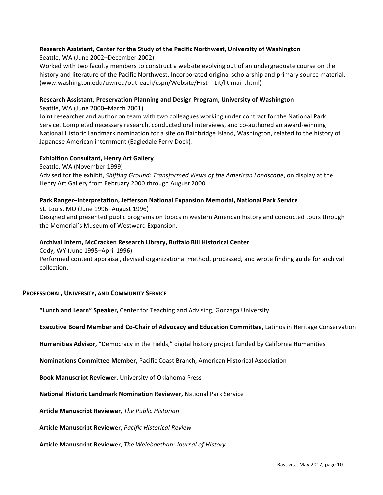## Research Assistant, Center for the Study of the Pacific Northwest, University of Washington

Seattle, WA (June 2002–December 2002)

Worked with two faculty members to construct a website evolving out of an undergraduate course on the history and literature of the Pacific Northwest. Incorporated original scholarship and primary source material. (www.washington.edu/uwired/outreach/cspn/Website/Hist n Lit/lit main.html)

## **Research Assistant, Preservation Planning and Design Program, University of Washington**

Seattle, WA (June 2000–March 2001)

Joint researcher and author on team with two colleagues working under contract for the National Park Service. Completed necessary research, conducted oral interviews, and co-authored an award-winning National Historic Landmark nomination for a site on Bainbridge Island, Washington, related to the history of Japanese American internment (Eagledale Ferry Dock).

## **Exhibition Consultant, Henry Art Gallery**

Seattle, WA (November 1999) Advised for the exhibit, Shifting Ground: Transformed Views of the American Landscape, on display at the Henry Art Gallery from February 2000 through August 2000.

## Park Ranger–Interpretation, Jefferson National Expansion Memorial, National Park Service

St. Louis, MO (June 1996–August 1996) Designed and presented public programs on topics in western American history and conducted tours through the Memorial's Museum of Westward Expansion.

## **Archival Intern, McCracken Research Library, Buffalo Bill Historical Center**

Cody, WY (June 1995–April 1996)

Performed content appraisal, devised organizational method, processed, and wrote finding guide for archival collection.

## **PROFESSIONAL, UNIVERSITY, AND COMMUNITY SERVICE**

**"Lunch and Learn" Speaker,** Center for Teaching and Advising, Gonzaga University

## **Executive Board Member and Co-Chair of Advocacy and Education Committee, Latinos in Heritage Conservation**

Humanities Advisor, "Democracy in the Fields," digital history project funded by California Humanities

**Nominations Committee Member, Pacific Coast Branch, American Historical Association** 

**Book Manuscript Reviewer, University of Oklahoma Press** 

**National Historic Landmark Nomination Reviewer, National Park Service** 

**Article Manuscript Reviewer,** *The Public Historian*

**Article Manuscript Reviewer,** *Pacific Historical Review*

**Article Manuscript Reviewer,** *The Welebaethan: Journal of History*